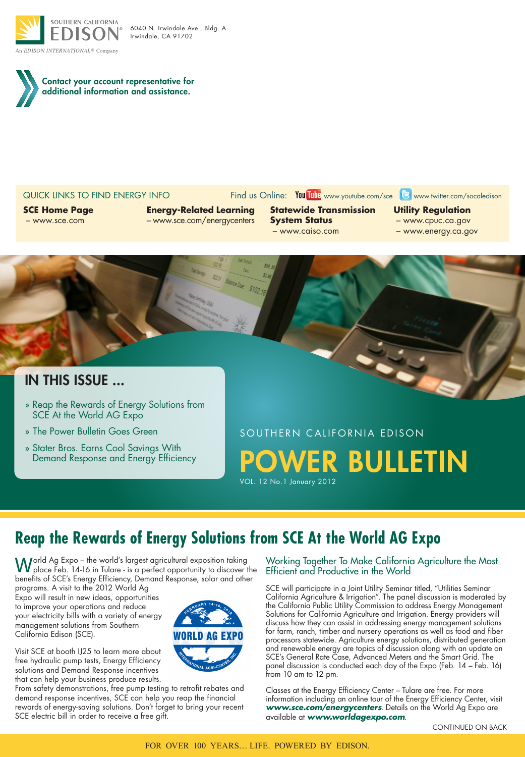



#### QUICK LINKS TO FIND ENERGY INFO Find us Online: You Tube www.youtube.com/sce **B** www.twitter.com/socaledison

**SCE Home Page** – www.sce.com

### **Energy-Related Learning** – www.sce.com/energycenters

**Statewide Transmission System Status** – www.caiso.com

**Utility Regulation**

- www.cpuc.ca.gov
- www.energy.ca.gov

# in This Issue ...

- » Reap the Rewards of Energy Solutions from SCE At the World AG Expo
- » The Power Bulletin Goes Green
- » Stater Bros. Earns Cool Savings With Demand Response and Energy Efficiency

SOUTHERN CALIFORNIA EDISON WER BULLETIN VOL. 12 No.1 January 2012

# **Reap the Rewards of Energy Solutions from SCE At the World AG Expo**

World Ag Expo – the world's largest agricultural exposition taking<br>place Feb. 14-16 in Tulare - is a perfect opportunity to discover the benefits of SCE's Energy Efficiency, Demand Response, solar and other

programs. A visit to the 2012 World Ag Expo will result in new ideas, opportunities to improve your operations and reduce your electricity bills with a variety of energy management solutions from Southern California Edison (SCE).

Visit SCE at booth IJ25 to learn more about free hydraulic pump tests, Energy Efficiency solutions and Demand Response incentives that can help your business produce results.

From safety demonstrations, free pump testing to retrofit rebates and demand response incentives, SCE can help you reap the financial rewards of energy-saving solutions. Don't forget to bring your recent SCE electric bill in order to receive a free gift.

Working Together To Make California Agriculture the Most Efficient and Productive in the World

SCE will participate in a Joint Utility Seminar titled, "Utilities Seminar California Agriculture & Irrigation". The panel discussion is moderated by the California Public Utility Commission to address Energy Management Solutions for California Agriculture and Irrigation. Energy providers will discuss how they can assist in addressing energy management solutions for farm, ranch, timber and nursery operations as well as food and fiber processors statewide. Agriculture energy solutions, distributed generation and renewable energy are topics of discussion along with an update on SCE's General Rate Case, Advanced Meters and the Smart Grid. The panel discussion is conducted each day of the Expo (Feb. 14 – Feb. 16) from 10 am to 12 pm.

Classes at the Energy Efficiency Center – Tulare are free. For more information including an online tour of the Energy Efficiency Center, visit *www.sce.com/energycenters*. Details on the World Ag Expo are available at *www.worldagexpo.com*.